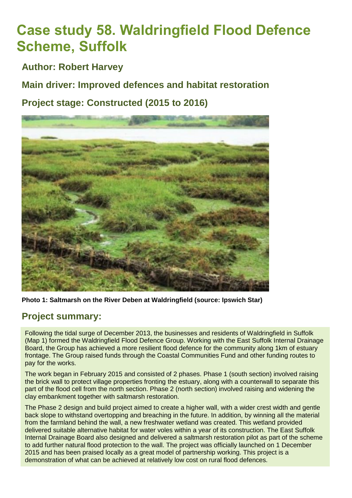# **Case study 58. Waldringfield Flood Defence Scheme, Suffolk**

**Author: Robert Harvey**

**Main driver: Improved defences and habitat restoration**

**Project stage: Constructed (2015 to 2016)**



**Photo 1: Saltmarsh on the River Deben at Waldringfield (source: [Ipswich Star\)](http://www.ipswichstar.co.uk/news/100k-boost-for-saltmarsh-work-at-waldringfield-1-4444336)**

# **Project summary:**

Following the tidal surge of December 2013, the businesses and residents of Waldringfield in Suffolk (Map 1) formed the Waldringfield Flood Defence Group. Working with the East Suffolk Internal Drainage Board, the Group has achieved a more resilient flood defence for the community along 1km of estuary frontage. The Group raised funds through the Coastal Communities Fund and other funding routes to pay for the works.

The work began in February 2015 and consisted of 2 phases. Phase 1 (south section) involved raising the brick wall to protect village properties fronting the estuary, along with a counterwall to separate this part of the flood cell from the north section. Phase 2 (north section) involved raising and widening the clay embankment together with saltmarsh restoration.

The Phase 2 design and build project aimed to create a higher wall, with a wider crest width and gentle back slope to withstand overtopping and breaching in the future. In addition, by winning all the material from the farmland behind the wall, a new freshwater wetland was created. This wetland provided delivered suitable alternative habitat for water voles within a year of its construction. The East Suffolk Internal Drainage Board also designed and delivered a saltmarsh restoration pilot as part of the scheme to add further natural flood protection to the wall. The project was officially launched on 1 December 2015 and has been praised locally as a great model of partnership working. This project is a demonstration of what can be achieved at relatively low cost on rural flood defences.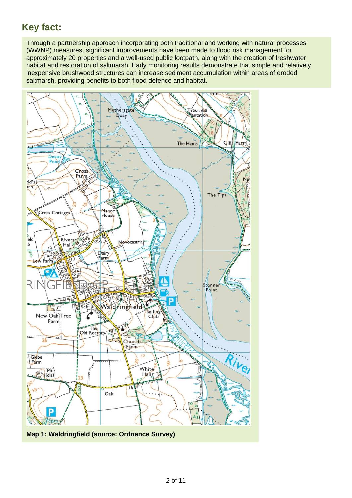# **Key fact:**

Through a partnership approach incorporating both traditional and working with natural processes (WWNP) measures, significant improvements have been made to flood risk management for approximately 20 properties and a well-used public footpath, along with the creation of freshwater habitat and restoration of saltmarsh. Early monitoring results demonstrate that simple and relatively inexpensive brushwood structures can increase sediment accumulation within areas of eroded saltmarsh, providing benefits to both flood defence and habitat.



**Map 1: Waldringfield (source: Ordnance Survey)**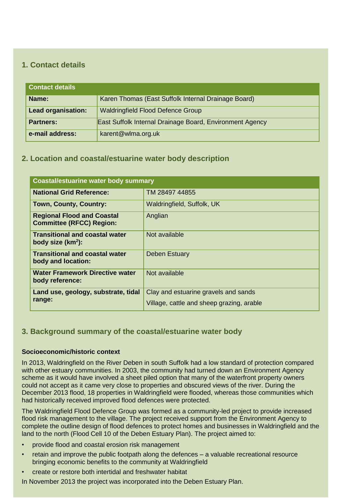# **1. Contact details**

| <b>Contact details</b>    |                                                          |  |
|---------------------------|----------------------------------------------------------|--|
| Name:                     | Karen Thomas (East Suffolk Internal Drainage Board)      |  |
| <b>Lead organisation:</b> | <b>Waldringfield Flood Defence Group</b>                 |  |
| <b>Partners:</b>          | East Suffolk Internal Drainage Board, Environment Agency |  |
| e-mail address:           | karent@wlma.org.uk                                       |  |

# **2. Location and coastal/estuarine water body description**

| <b>Coastal/estuarine water body summary</b>                          |                                                                                   |  |
|----------------------------------------------------------------------|-----------------------------------------------------------------------------------|--|
| <b>National Grid Reference:</b>                                      | TM 28497 44855                                                                    |  |
| Town, County, Country:                                               | Waldringfield, Suffolk, UK                                                        |  |
| <b>Regional Flood and Coastal</b><br><b>Committee (RFCC) Region:</b> | Anglian                                                                           |  |
| <b>Transitional and coastal water</b><br>body size $(km^2)$ :        | Not available                                                                     |  |
| <b>Transitional and coastal water</b><br>body and location:          | <b>Deben Estuary</b>                                                              |  |
| <b>Water Framework Directive water</b><br>body reference:            | Not available                                                                     |  |
| Land use, geology, substrate, tidal<br>range:                        | Clay and estuarine gravels and sands<br>Village, cattle and sheep grazing, arable |  |

# **3. Background summary of the coastal/estuarine water body**

#### **Socioeconomic/historic context**

In 2013, Waldringfield on the River Deben in south Suffolk had a low standard of protection compared with other estuary communities. In 2003, the community had turned down an Environment Agency scheme as it would have involved a sheet piled option that many of the waterfront property owners could not accept as it came very close to properties and obscured views of the river. During the December 2013 flood, 18 properties in Waldringfield were flooded, whereas those communities which had historically received improved flood defences were protected.

The Waldringfield Flood Defence Group was formed as a community-led project to provide increased flood risk management to the village. The project received support from the Environment Agency to complete the outline design of flood defences to protect homes and businesses in Waldringfield and the land to the north (Flood Cell 10 of the Deben Estuary Plan). The project aimed to:

- provide flood and coastal erosion risk management
- retain and improve the public footpath along the defences a valuable recreational resource bringing economic benefits to the community at Waldringfield
- create or restore both intertidal and freshwater habitat

In November 2013 the project was incorporated into the Deben Estuary Plan.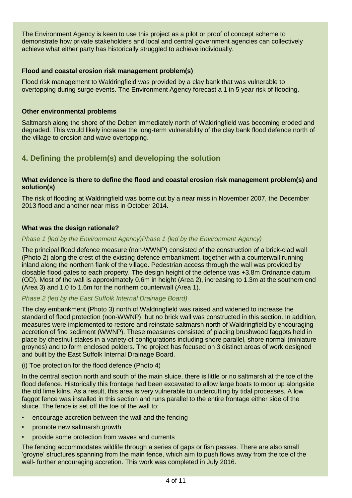The Environment Agency is keen to use this project as a pilot or proof of concept scheme to demonstrate how private stakeholders and local and central government agencies can collectively achieve what either party has historically struggled to achieve individually.

#### **Flood and coastal erosion risk management problem(s)**

Flood risk management to Waldringfield was provided by a clay bank that was vulnerable to overtopping during surge events. The Environment Agency forecast a 1 in 5 year risk of flooding.

#### **Other environmental problems**

Saltmarsh along the shore of the Deben immediately north of Waldringfield was becoming eroded and degraded. This would likely increase the long-term vulnerability of the clay bank flood defence north of the village to erosion and wave overtopping.

# **4. Defining the problem(s) and developing the solution**

#### **What evidence is there to define the flood and coastal erosion risk management problem(s) and solution(s)**

The risk of flooding at Waldringfield was borne out by a near miss in November 2007, the December 2013 flood and another near miss in October 2014.

#### **What was the design rationale?**

#### *Phase 1 (led by the Environment Agency)Phase 1 (led by the Environment Agency)*

The principal flood defence measure (non-WWNP) consisted of the construction of a brick-clad wall (Photo 2) along the crest of the existing defence embankment, together with a counterwall running inland along the northern flank of the village. Pedestrian access through the wall was provided by closable flood gates to each property. The design height of the defence was +3.8m Ordnance datum (OD). Most of the wall is approximately 0.6m in height (Area 2), increasing to 1.3m at the southern end (Area 3) and 1.0 to 1.6m for the northern counterwall (Area 1).

#### *Phase 2 (led by the East Suffolk Internal Drainage Board)*

The clay embankment (Photo 3) north of Waldringfield was raised and widened to increase the standard of flood protection (non-WWNP), but no brick wall was constructed in this section. In addition, measures were implemented to restore and reinstate saltmarsh north of Waldringfield by encouraging accretion of fine sediment (WWNP). These measures consisted of placing brushwood faggots held in place by chestnut stakes in a variety of configurations including shore parallel, shore normal (miniature groynes) and to form enclosed polders. The project has focused on 3 distinct areas of work designed and built by the East Suffolk Internal Drainage Board.

#### (i) Toe protection for the flood defence (Photo 4)

In the central section north and south of the main sluice, there is little or no saltmarsh at the toe of the flood defence. Historically this frontage had been excavated to allow large boats to moor up alongside the old lime kilns. As a result, this area is very vulnerable to undercutting by tidal processes. A low faggot fence was installed in this section and runs parallel to the entire frontage either side of the sluice. The fence is set off the toe of the wall to:

- encourage accretion between the wall and the fencing
- promote new saltmarsh growth
- provide some protection from waves and currents

The fencing accommodates wildlife through a series of gaps or fish passes. There are also small 'groyne' structures spanning from the main fence, which aim to push flows away from the toe of the wall- further encouraging accretion. This work was completed in July 2016.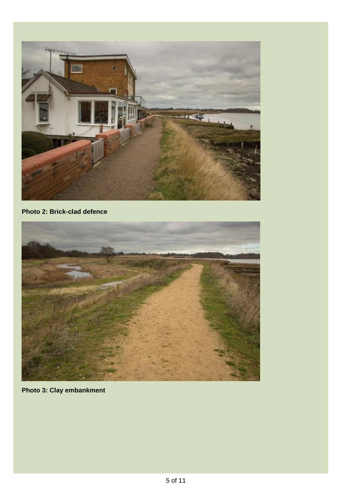

# **Photo 2: Brick-clad defence**



**Photo 3: Clay embankment**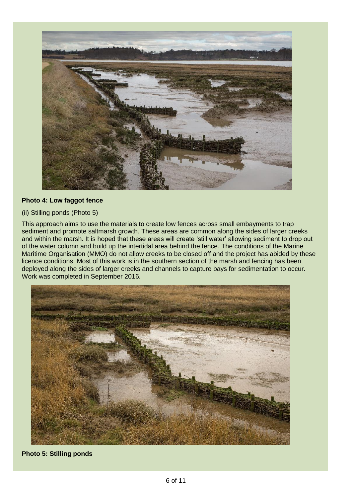

#### **Photo 4: Low faggot fence**

#### (ii) Stilling ponds (Photo 5)

This approach aims to use the materials to create low fences across small embayments to trap sediment and promote saltmarsh growth. These areas are common along the sides of larger creeks and within the marsh. It is hoped that these areas will create 'still water' allowing sediment to drop out of the water column and build up the intertidal area behind the fence. The conditions of the Marine Maritime Organisation (MMO) do not allow creeks to be closed off and the project has abided by these licence conditions. Most of this work is in the southern section of the marsh and fencing has been deployed along the sides of larger creeks and channels to capture bays for sedimentation to occur. Work was completed in September 2016.



**Photo 5: Stilling ponds**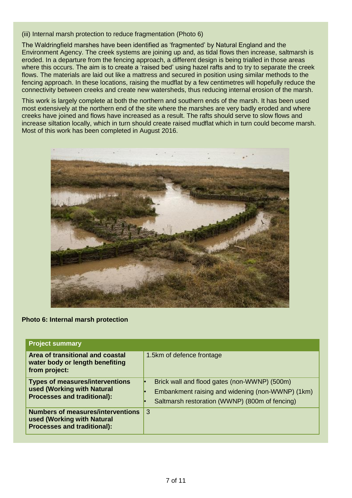(iii) Internal marsh protection to reduce fragmentation (Photo 6)

The Waldringfield marshes have been identified as 'fragmented' by Natural England and the Environment Agency. The creek systems are joining up and, as tidal flows then increase, saltmarsh is eroded. In a departure from the fencing approach, a different design is being trialled in those areas where this occurs. The aim is to create a 'raised bed' using hazel rafts and to try to separate the creek flows. The materials are laid out like a mattress and secured in position using similar methods to the fencing approach. In these locations, raising the mudflat by a few centimetres will hopefully reduce the connectivity between creeks and create new watersheds, thus reducing internal erosion of the marsh.

This work is largely complete at both the northern and southern ends of the marsh. It has been used most extensively at the northern end of the site where the marshes are very badly eroded and where creeks have joined and flows have increased as a result. The rafts should serve to slow flows and increase siltation locally, which in turn should create raised mudflat which in turn could become marsh. Most of this work has been completed in August 2016.



#### **Photo 6: Internal marsh protection**

| <b>Project summary</b>                                                                                       |                                                                                                                                                    |
|--------------------------------------------------------------------------------------------------------------|----------------------------------------------------------------------------------------------------------------------------------------------------|
| Area of transitional and coastal<br>water body or length benefiting<br>from project:                         | 1.5km of defence frontage                                                                                                                          |
| <b>Types of measures/interventions</b><br>used (Working with Natural<br><b>Processes and traditional):</b>   | Brick wall and flood gates (non-WWNP) (500m)<br>Embankment raising and widening (non-WWNP) (1km)<br>Saltmarsh restoration (WWNP) (800m of fencing) |
| <b>Numbers of measures/interventions</b><br>used (Working with Natural<br><b>Processes and traditional):</b> | 3                                                                                                                                                  |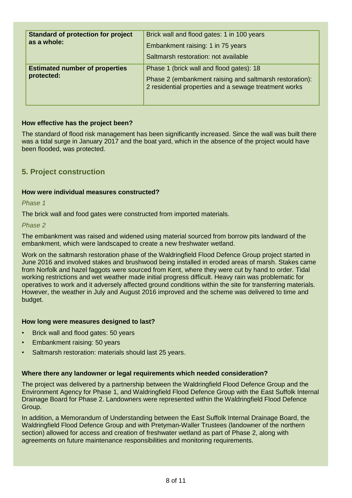| <b>Standard of protection for project</b><br>as a whole: | Brick wall and flood gates: 1 in 100 years<br>Embankment raising: 1 in 75 years<br>Saltmarsh restoration: not available                                      |
|----------------------------------------------------------|--------------------------------------------------------------------------------------------------------------------------------------------------------------|
| <b>Estimated number of properties</b><br>protected:      | Phase 1 (brick wall and flood gates): 18<br>Phase 2 (embankment raising and saltmarsh restoration):<br>2 residential properties and a sewage treatment works |

#### **How effective has the project been?**

The standard of flood risk management has been significantly increased. Since the wall was built there was a tidal surge in January 2017 and the boat yard, which in the absence of the project would have been flooded, was protected.

# **5. Project construction**

#### **How were individual measures constructed?**

*Phase 1*

The brick wall and food gates were constructed from imported materials.

*Phase 2*

The embankment was raised and widened using material sourced from borrow pits landward of the embankment, which were landscaped to create a new freshwater wetland.

Work on the saltmarsh restoration phase of the Waldringfield Flood Defence Group project started in June 2016 and involved stakes and brushwood being installed in eroded areas of marsh. Stakes came from Norfolk and hazel faggots were sourced from Kent, where they were cut by hand to order. Tidal working restrictions and wet weather made initial progress difficult. Heavy rain was problematic for operatives to work and it adversely affected ground conditions within the site for transferring materials. However, the weather in July and August 2016 improved and the scheme was delivered to time and budget.

#### **How long were measures designed to last?**

- Brick wall and flood gates: 50 years
- Embankment raising: 50 years
- Saltmarsh restoration: materials should last 25 years.

#### **Where there any landowner or legal requirements which needed consideration?**

The project was delivered by a partnership between the Waldringfield Flood Defence Group and the Environment Agency for Phase 1, and Waldringfield Flood Defence Group with the East Suffolk Internal Drainage Board for Phase 2. Landowners were represented within the Waldringfield Flood Defence Group.

In addition, a Memorandum of Understanding between the East Suffolk Internal Drainage Board, the Waldringfield Flood Defence Group and with Pretyman-Waller Trustees (landowner of the northern section) allowed for access and creation of freshwater wetland as part of Phase 2, along with agreements on future maintenance responsibilities and monitoring requirements.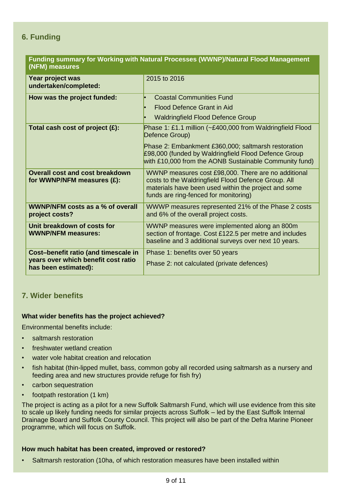# **6. Funding**

| Funding summary for Working with Natural Processes (WWNP)/Natural Flood Management<br>(NFM) measures |                                                                                                                                                                                                             |  |
|------------------------------------------------------------------------------------------------------|-------------------------------------------------------------------------------------------------------------------------------------------------------------------------------------------------------------|--|
| Year project was<br>undertaken/completed:                                                            | 2015 to 2016                                                                                                                                                                                                |  |
| How was the project funded:                                                                          | <b>Coastal Communities Fund</b><br><b>Flood Defence Grant in Aid</b><br><b>Waldringfield Flood Defence Group</b>                                                                                            |  |
| Total cash cost of project $(E)$ :                                                                   | Phase 1: £1.1 million (~£400,000 from Waldringfield Flood<br>Defence Group)                                                                                                                                 |  |
|                                                                                                      | Phase 2: Embankment £360,000; saltmarsh restoration<br>£98,000 (funded by Waldringfield Flood Defence Group<br>with £10,000 from the AONB Sustainable Community fund)                                       |  |
| <b>Overall cost and cost breakdown</b><br>for WWNP/NFM measures (£):                                 | WWNP measures cost £98,000. There are no additional<br>costs to the Waldringfield Flood Defence Group. All<br>materials have been used within the project and some<br>funds are ring-fenced for monitoring) |  |
| <b>WWNP/NFM costs as a % of overall</b><br>project costs?                                            | WWWP measures represented 21% of the Phase 2 costs<br>and 6% of the overall project costs.                                                                                                                  |  |
| Unit breakdown of costs for<br><b>WWNP/NFM measures:</b>                                             | WWNP measures were implemented along an 800m<br>section of frontage. Cost £122.5 per metre and includes<br>baseline and 3 additional surveys over next 10 years.                                            |  |
| Cost-benefit ratio (and timescale in<br>years over which benefit cost ratio<br>has been estimated):  | Phase 1: benefits over 50 years<br>Phase 2: not calculated (private defences)                                                                                                                               |  |

# **7. Wider benefits**

#### **What wider benefits has the project achieved?**

Environmental benefits include:

- saltmarsh restoration
- freshwater wetland creation
- water vole habitat creation and relocation
- fish habitat (thin-lipped mullet, bass, common goby all recorded using saltmarsh as a nursery and feeding area and new structures provide refuge for fish fry)
- carbon sequestration
- footpath restoration (1 km)

The project is acting as a pilot for a new Suffolk Saltmarsh Fund, which will use evidence from this site to scale up likely funding needs for similar projects across Suffolk – led by the East Suffolk Internal Drainage Board and Suffolk County Council. This project will also be part of the Defra Marine Pioneer programme, which will focus on Suffolk.

#### **How much habitat has been created, improved or restored?**

• Saltmarsh restoration (10ha, of which restoration measures have been installed within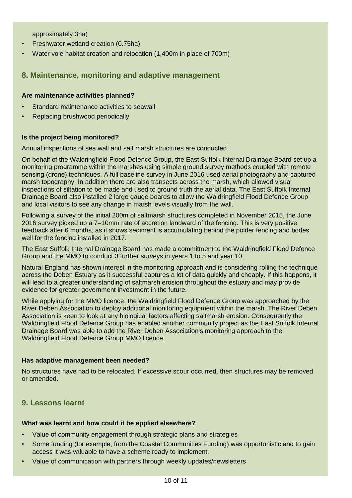approximately 3ha)

- Freshwater wetland creation (0.75ha)
- Water vole habitat creation and relocation (1,400m in place of 700m)

### **8. Maintenance, monitoring and adaptive management**

#### **Are maintenance activities planned?**

- Standard maintenance activities to seawall
- Replacing brushwood periodically

#### **Is the project being monitored?**

Annual inspections of sea wall and salt marsh structures are conducted.

On behalf of the Waldringfield Flood Defence Group, the East Suffolk Internal Drainage Board set up a monitoring programme within the marshes using simple ground survey methods coupled with remote sensing (drone) techniques. A full baseline survey in June 2016 used aerial photography and captured marsh topography. In addition there are also transects across the marsh, which allowed visual inspections of siltation to be made and used to ground truth the aerial data. The East Suffolk Internal Drainage Board also installed 2 large gauge boards to allow the Waldringfield Flood Defence Group and local visitors to see any change in marsh levels visually from the wall.

Following a survey of the initial 200m of saltmarsh structures completed in November 2015, the June 2016 survey picked up a 7–10mm rate of accretion landward of the fencing. This is very positive feedback after 6 months, as it shows sediment is accumulating behind the polder fencing and bodes well for the fencing installed in 2017.

The East Suffolk Internal Drainage Board has made a commitment to the Waldringfield Flood Defence Group and the MMO to conduct 3 further surveys in years 1 to 5 and year 10.

Natural England has shown interest in the monitoring approach and is considering rolling the technique across the Deben Estuary as it successful captures a lot of data quickly and cheaply. If this happens, it will lead to a greater understanding of saltmarsh erosion throughout the estuary and may provide evidence for greater government investment in the future.

While applying for the MMO licence, the Waldringfield Flood Defence Group was approached by the River Deben Association to deploy additional monitoring equipment within the marsh. The River Deben Association is keen to look at any biological factors affecting saltmarsh erosion. Consequently the Waldringfield Flood Defence Group has enabled another community project as the East Suffolk Internal Drainage Board was able to add the River Deben Association's monitoring approach to the Waldringfield Flood Defence Group MMO licence.

#### **Has adaptive management been needed?**

No structures have had to be relocated. If excessive scour occurred, then structures may be removed or amended.

# **9. Lessons learnt**

#### **What was learnt and how could it be applied elsewhere?**

- Value of community engagement through strategic plans and strategies
- Some funding (for example, from the Coastal Communities Funding) was opportunistic and to gain access it was valuable to have a scheme ready to implement.
- Value of communication with partners through weekly updates/newsletters